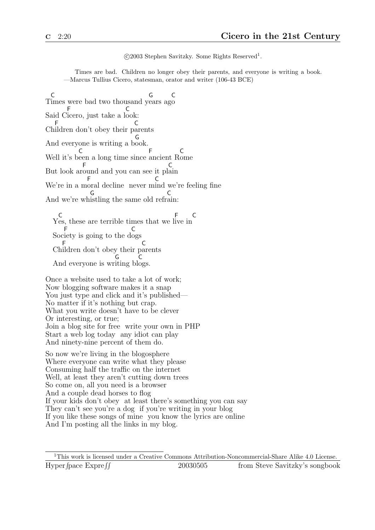©2003 Stephen Savitzky. Some Rights Reserved<sup>1</sup>.

Times are bad. Children no longer obey their parents, and everyone is writing a book. —Marcus Tullius Cicero, statesman, orator and writer (106-43 BCE)

T imes were bad two thousand y ears ag o C G C Said C icero, just take a l ook: F C Ch ildren don't obey their p arents F C And everyone is writing a b ook. G Well it's b een a long time since ancient R ome C F  $\Gamma$ But look ar ound and you can see it pl ain F C We're in a m oral decline never m ind we're feeling fine F C And we're wh istling the same old refr ain: G C

Yes, these are terrible times that we live in C F C Soc iety is going to the d ogs F C Ch ildren don't obey their p arents F C And everyone is writing blogs. G C

Once a website used to take a lot of work; Now blogging software makes it a snap You just type and click and it's published-No matter if it's nothing but crap. What you write doesn't have to be clever Or interesting, or true; Join a blog site for free write your own in PHP Start a web log today any idiot can play And ninety-nine percent of them do.

So now we're living in the blogosphere Where everyone can write what they please Consuming half the traffic on the internet Well, at least they aren't cutting down trees So come on, all you need is a browser And a couple dead horses to flog If your kids don't obey at least there's something you can say They can't see you're a dog if you're writing in your blog If you like these songs of mine you know the lyrics are online And I'm posting all the links in my blog.

<sup>1</sup>This work is licensed under a Creative Commons Attribution-Noncommercial-Share Alike 4.0 License. Hyper fpace  $\text{Expre}$  ff 20030505 from Steve Savitzky's songbook